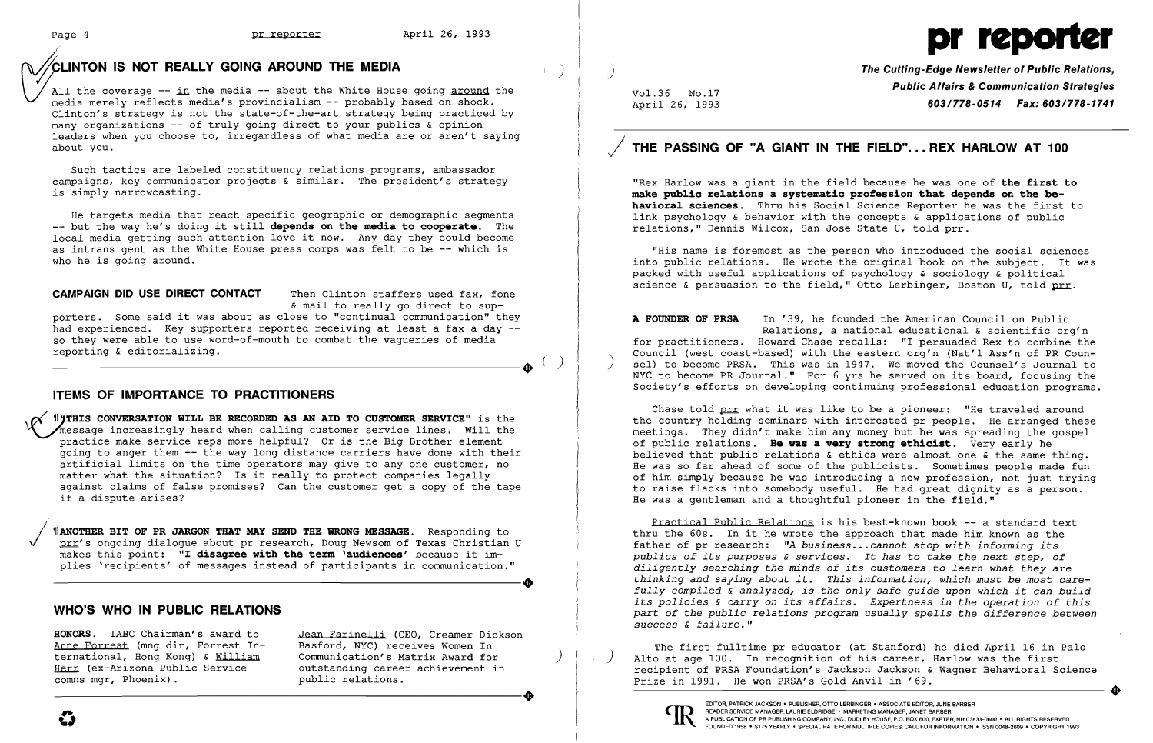*r*

## ~L1NTON **IS NOT REALLY GOING AROUND THE MEDIA** )

All the coverage  $-$ - in the media  $-$  about the White House going around the media merely reflects media's provincialism **--** probably based on shock. Clinton's strategy is not the state-of-the-art strategy being practiced by many organizations -- of truly going direct to your publics & opinion leaders when you choose to, irregardless of what media are or aren't saying about you.

Such tactics are labeled constituency relations programs, ambassador campaigns, key communicator projects & similar. The president's strategy is simply narrowcasting.

He targets media that reach specific geographic or demographic segments but the way he's doing it still **depends on the media to cooperate.** The local media getting such attention love it now. Any day they could become as intransigent as the White House press corps was felt to be **--** which is who he is going around.

### **CAMPAIGN DID USE DIRECT CONTACT** Then Clinton staffers used fax, fone

*I***UTHIS CONVERSATION WILL BE RECORDED AS AN AID TO CUSTOMER SERVICE" is the** Thessage increasingly heard when calling customer service lines. Will the practice make service reps more helpful? Or is the Big Brother element going to anger them -- the way long distance carriers have done with their going to anger them the way fong distance carriers have done with their<br>artificial limits on the time operators may give to any one customer, no matter what the situation? Is it really to protect companies legally against claims of false promises? Can the customer get a copy of the tape if a dispute arises?

*JANOTHER BIT OF PR JARGON THAT MAY SEND THE WRONG MESSAGE. Responding to* prr's ongoing dialogue about pr research, Doug Newsom of Texas Christian U pit is ongoing dialogue about pr research, boug Newsom of Texas Christia  $max$  because it implies 'recipients' of messages instead of participants in communication." plists only dialogue about princession, body Newson of Texas Christian 0<br>makes this point: "I disagree with the term 'audiences' because it im-<br>plies 'recipients' of messages instead of participants in communication."

& mail to really go direct to sup-

**HONORS.** IABC Chairman's award to Anne Forrest (mng dir, Forrest International, Hong Kong) & William Herr (ex-Arizona Public Service<br>comns mgr, Phoenix).

porters. Some said it was about as close to "continual communication" they had experienced. Key supporters reported receiving at least a fax a day -so they were able to use word-of-mouth to combat the vagueries of media reporting & editorializing.

 $-(-)$ 

Jean Farinelli (CEO, Creamer Dickson Basford, NYC) receives Women In Communication's Matrix Award for ) outstanding career achievement in<br>public relations.

## **ITEMS OF IMPORTANCE TO PRACTITIONERS**

"Rex Harlow was a giant in the field because he was one of **the first to make pub1ic re1ations a systematic profession that depends on the behaviora1 sciences.** Thru his Social Science Reporter he was the first to link psychology & behavior with the concepts & applications of public relations," Dennis Wilcox, San Jose State U, told prr.

"His name is foremost as the person who introduced the social sciences into public relations. He wrote the original book on the subject. It was packed with useful applications of psychology & sociology & political science & persuasion to the field," Otto Lerbinger, Boston U, told  $prr$ .

## **WHO'S WHO IN PUBLIC RELATIONS**

Chase told prr what it was like to be a pioneer: "He traveled around the country holding seminars with interested pr people. He arranged these meetings. They didn't make him any money but he was spreading the gospel of public relations. **He was a very stronq ethicist.** Very early he believed that public relations & ethics were almost one & the same thing. He was so far ahead of some of the publicists. Sometimes people made fun of him simply because he was introducing a new profession, not just trying to raise flacks into somebody useful. He had great dignity as a person. He was a gentleman and a thoughtful pioneer in the field."

)

Vol.36 No.17 April 26, 1993

The first fulltime pr educator (at Stanford) he died April 16 in Palo ) Alto at age 100. In recognition of his career, Harlow was the first recipient of PRSA Foundation's Jackson Jackson & Wagner Behavioral Science Prize in 1991. He won PRSA's Gold Anvil in '69. COMMUNICATION S MALLIX AWARD TOT ALLO AT AGE IT ALLO AT AN ALLO AT AN ALLO AT ANY ALLO AT AGE ITST.<br>
COMES MALLIAN SERVICE OUT STATES OUT STATES TO LEAD ON THE STATES ON THE STATES ON THE STATES OF PRESS AT FOUND OF THIS C



**The Cutting-Edge Newsletter of Public Relations, Public Affairs & Communication Strategies**  *603/778-0514 Fax: 603/778-1741* 

# J **THE PASSING OF "A GIANT IN THE FIELD"... REX HARLOW AT 100**

**A FOUNDER OF PRSA** In '39, he founded the American Council on Public Relations, a national educational & scientific org'n for practitioners. Howard Chase recalls: "I persuaded Rex to combine the Council (west coast-based) with the eastern org'n (Nat'l Ass'n of PR Coun ) sel) to become PRSA. This was in 1947. We moved the Counsel's Journal to NYC to become PR Journal." For 6 yrs he served on its board, focusing the Society's efforts on developing continuing professional education programs.

Practical Public Relations is his best-known book -- a standard text thru the 60s. In it he wrote the approach that made him known as the father of pr research: *"A business... cannot stop with informing its publics of its purposes* & *services.* It *has* to *take the next step, of diligently searching the minds of its customers* to *learn what they* are *thinking and saying about it. This information, which must be most carefully compiled* & *analyzed, is the only safe guide upon which it can build its policies* & *carryon its affairs. Expertness in the operation of this part of the public relations program usually spells the difference between success* & *failure."* 

EDITOR, PATRICK JACKSON' PUBLISHER, OTTO LERBINGER • ASSOCIATE EDITOR, JUNE BARBER

# Page 4 **pr** reporter April 26, 1993